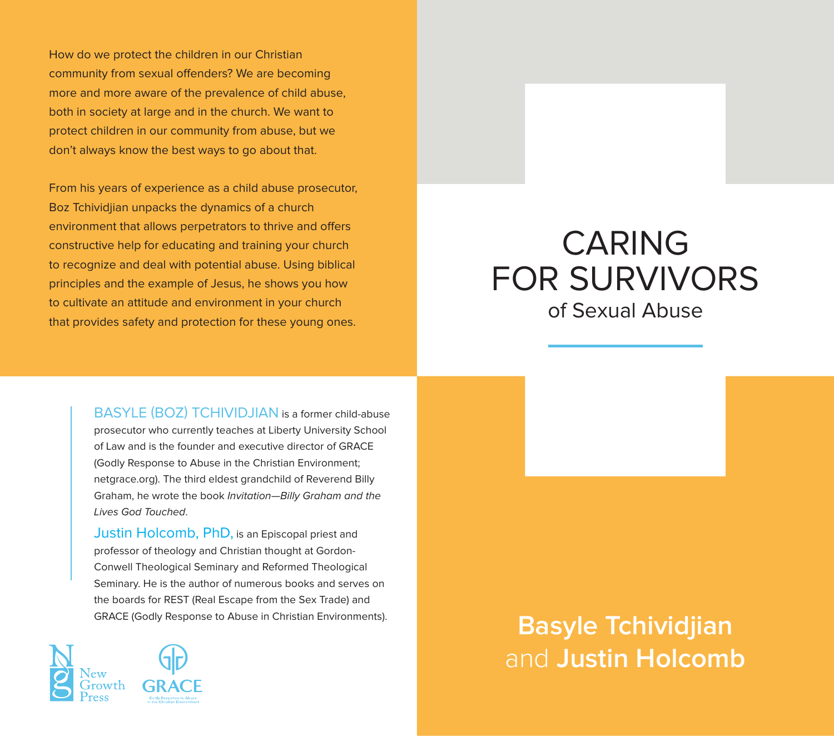# CARING FOR SURVIVORS of Sexual Abuse

**Basyle Tchividjian** and **Justin Holcomb**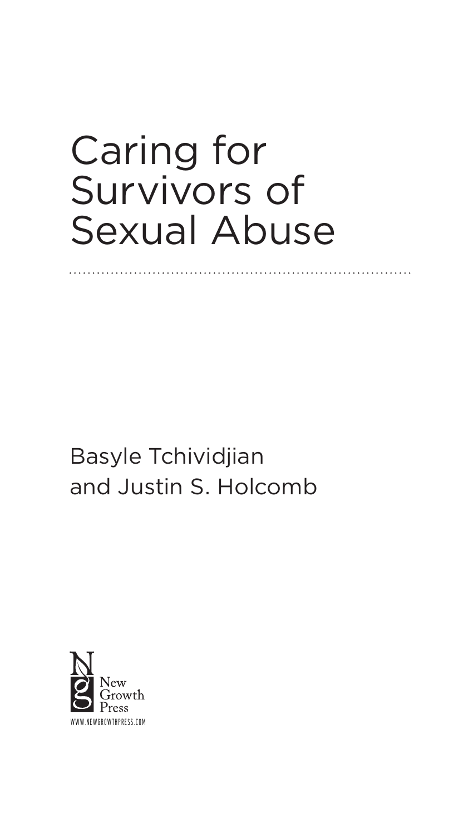# Caring for Survivors of Sexual Abuse

Basyle Tchividjian and Justin S. Holcomb

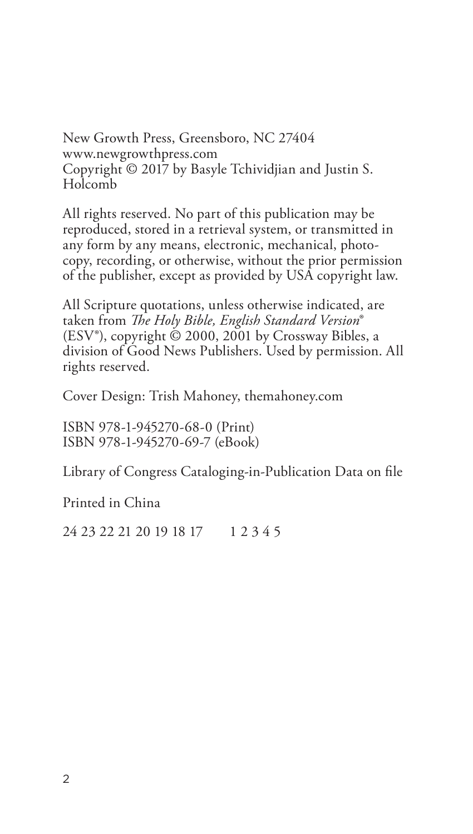New Growth Press, Greensboro, NC 27404 www.newgrowthpress.com Copyright © 2017 by Basyle Tchividjian and Justin S. Holcomb

All rights reserved. No part of this publication may be reproduced, stored in a retrieval system, or transmitted in any form by any means, electronic, mechanical, photocopy, recording, or otherwise, without the prior permission of the publisher, except as provided by USA copyright law.

All Scripture quotations, unless otherwise indicated, are taken from *The Holy Bible, English Standard Version*® (ESV®), copyright © 2000, 2001 by Crossway Bibles, a division of Good News Publishers. Used by permission. All rights reserved.

Cover Design: Trish Mahoney, themahoney.com

ISBN 978-1-945270-68-0 (Print) ISBN 978-1-945270-69-7 (eBook)

Library of Congress Cataloging-in-Publication Data on file

Printed in China

24 23 22 21 20 19 18 17 1 2 3 4 5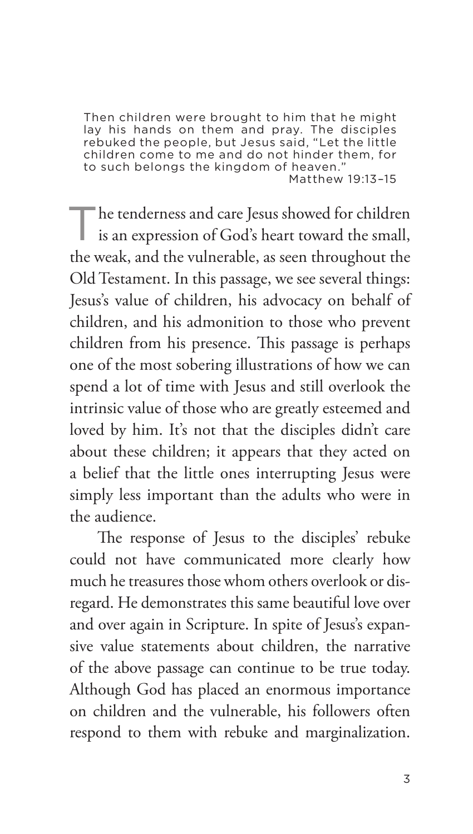Then children were brought to him that he might lay his hands on them and pray. The disciples rebuked the people, but Jesus said, "Let the little children come to me and do not hinder them, for to such belongs the kingdom of heaven." Matthew 19:13–15

The tenderness and care Jesus showed for children is an expression of God's heart toward the small, the weak, and the vulnerable, as seen throughout the Old Testament. In this passage, we see several things: Jesus's value of children, his advocacy on behalf of children, and his admonition to those who prevent children from his presence. This passage is perhaps one of the most sobering illustrations of how we can spend a lot of time with Jesus and still overlook the intrinsic value of those who are greatly esteemed and loved by him. It's not that the disciples didn't care about these children; it appears that they acted on a belief that the little ones interrupting Jesus were simply less important than the adults who were in the audience.

The response of Jesus to the disciples' rebuke could not have communicated more clearly how much he treasures those whom others overlook or disregard. He demonstrates this same beautiful love over and over again in Scripture. In spite of Jesus's expansive value statements about children, the narrative of the above passage can continue to be true today. Although God has placed an enormous importance on children and the vulnerable, his followers often respond to them with rebuke and marginalization.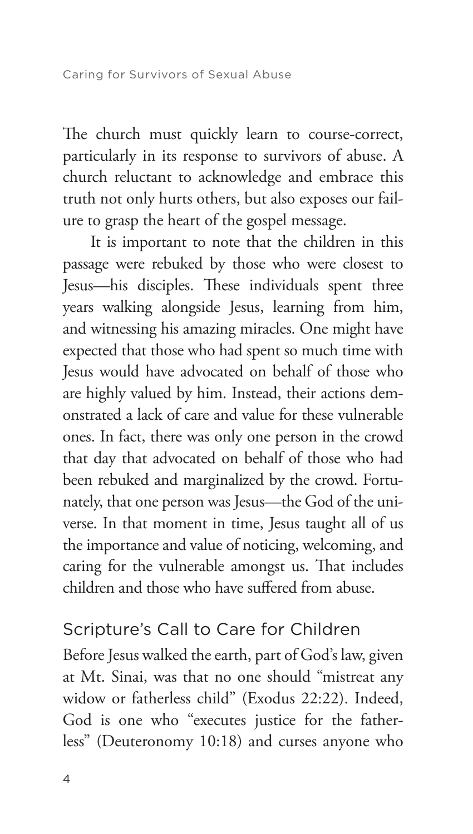The church must quickly learn to course-correct, particularly in its response to survivors of abuse. A church reluctant to acknowledge and embrace this truth not only hurts others, but also exposes our failure to grasp the heart of the gospel message.

It is important to note that the children in this passage were rebuked by those who were closest to Jesus—his disciples. These individuals spent three years walking alongside Jesus, learning from him, and witnessing his amazing miracles. One might have expected that those who had spent so much time with Jesus would have advocated on behalf of those who are highly valued by him. Instead, their actions demonstrated a lack of care and value for these vulnerable ones. In fact, there was only one person in the crowd that day that advocated on behalf of those who had been rebuked and marginalized by the crowd. Fortunately, that one person was Jesus—the God of the universe. In that moment in time, Jesus taught all of us the importance and value of noticing, welcoming, and caring for the vulnerable amongst us. That includes children and those who have suffered from abuse.

#### Scripture's Call to Care for Children

Before Jesus walked the earth, part of God's law, given at Mt. Sinai, was that no one should "mistreat any widow or fatherless child" (Exodus 22:22). Indeed, God is one who "executes justice for the fatherless" (Deuteronomy 10:18) and curses anyone who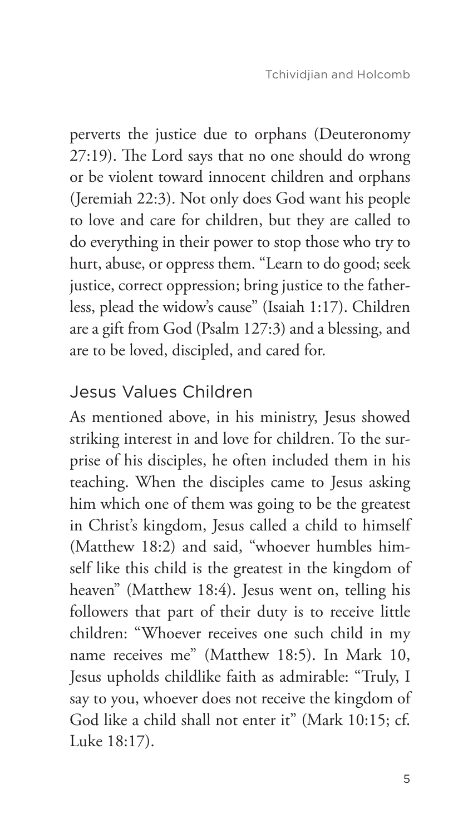perverts the justice due to orphans (Deuteronomy 27:19). The Lord says that no one should do wrong or be violent toward innocent children and orphans (Jeremiah 22:3). Not only does God want his people to love and care for children, but they are called to do everything in their power to stop those who try to hurt, abuse, or oppress them. "Learn to do good; seek justice, correct oppression; bring justice to the fatherless, plead the widow's cause" (Isaiah 1:17). Children are a gift from God (Psalm 127:3) and a blessing, and are to be loved, discipled, and cared for.

## Jesus Values Children

As mentioned above, in his ministry, Jesus showed striking interest in and love for children. To the surprise of his disciples, he often included them in his teaching. When the disciples came to Jesus asking him which one of them was going to be the greatest in Christ's kingdom, Jesus called a child to himself (Matthew 18:2) and said, "whoever humbles himself like this child is the greatest in the kingdom of heaven" (Matthew 18:4). Jesus went on, telling his followers that part of their duty is to receive little children: "Whoever receives one such child in my name receives me" (Matthew 18:5). In Mark 10, Jesus upholds childlike faith as admirable: "Truly, I say to you, whoever does not receive the kingdom of God like a child shall not enter it" (Mark 10:15; cf. Luke 18:17).